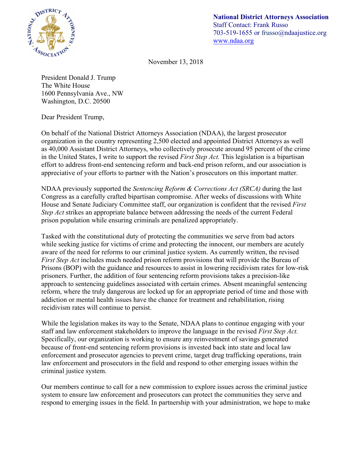

**National District Attorneys Association** Staff Contact: Frank Russo 703-519-1655 or frusso@ndaajustice.org www.ndaa.org

November 13, 2018

President Donald J. Trump The White House 1600 Pennsylvania Ave., NW Washington, D.C. 20500

Dear President Trump,

On behalf of the National District Attorneys Association (NDAA), the largest prosecutor organization in the country representing 2,500 elected and appointed District Attorneys as well as 40,000 Assistant District Attorneys, who collectively prosecute around 95 percent of the crime in the United States, I write to support the revised *First Step Act.* This legislation is a bipartisan effort to address front-end sentencing reform and back-end prison reform, and our association is appreciative of your efforts to partner with the Nation's prosecutors on this important matter.

NDAA previously supported the *Sentencing Reform & Corrections Act (SRCA)* during the last Congress as a carefully crafted bipartisan compromise. After weeks of discussions with White House and Senate Judiciary Committee staff, our organization is confident that the revised *First Step Act* strikes an appropriate balance between addressing the needs of the current Federal prison population while ensuring criminals are penalized appropriately.

Tasked with the constitutional duty of protecting the communities we serve from bad actors while seeking justice for victims of crime and protecting the innocent, our members are acutely aware of the need for reforms to our criminal justice system. As currently written, the revised *First Step Act* includes much needed prison reform provisions that will provide the Bureau of Prisons (BOP) with the guidance and resources to assist in lowering recidivism rates for low-risk prisoners. Further, the addition of four sentencing reform provisions takes a precision-like approach to sentencing guidelines associated with certain crimes. Absent meaningful sentencing reform, where the truly dangerous are locked up for an appropriate period of time and those with addiction or mental health issues have the chance for treatment and rehabilitation, rising recidivism rates will continue to persist.

While the legislation makes its way to the Senate, NDAA plans to continue engaging with your staff and law enforcement stakeholders to improve the language in the revised *First Step Act.* Specifically, our organization is working to ensure any reinvestment of savings generated because of front-end sentencing reform provisions is invested back into state and local law enforcement and prosecutor agencies to prevent crime, target drug trafficking operations, train law enforcement and prosecutors in the field and respond to other emerging issues within the criminal justice system.

Our members continue to call for a new commission to explore issues across the criminal justice system to ensure law enforcement and prosecutors can protect the communities they serve and respond to emerging issues in the field. In partnership with your administration, we hope to make